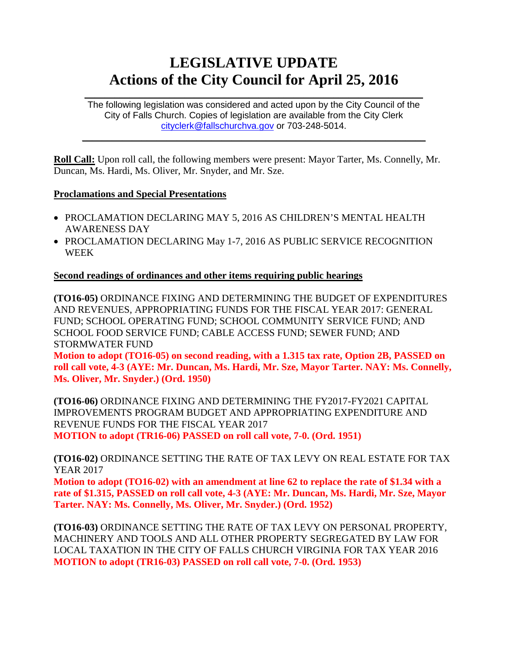# **LEGISLATIVE UPDATE Actions of the City Council for April 25, 2016**

The following legislation was considered and acted upon by the City Council of the City of Falls Church. Copies of legislation are available from the City Clerk [cityclerk@fallschurchva.gov](mailto:cityclerk@fallschurchva.gov) or 703-248-5014.

 $\mathcal{L}_\text{max}$  and  $\mathcal{L}_\text{max}$  and  $\mathcal{L}_\text{max}$  and  $\mathcal{L}_\text{max}$  and  $\mathcal{L}_\text{max}$  and  $\mathcal{L}_\text{max}$ 

 $\mathcal{L}_\text{max}$  and  $\mathcal{L}_\text{max}$  and  $\mathcal{L}_\text{max}$  and  $\mathcal{L}_\text{max}$  and  $\mathcal{L}_\text{max}$  and  $\mathcal{L}_\text{max}$ 

**Roll Call:** Upon roll call, the following members were present: Mayor Tarter, Ms. Connelly, Mr. Duncan, Ms. Hardi, Ms. Oliver, Mr. Snyder, and Mr. Sze.

## **Proclamations and Special Presentations**

- PROCLAMATION DECLARING MAY 5, 2016 AS CHILDREN'S MENTAL HEALTH AWARENESS DAY
- PROCLAMATION DECLARING May 1-7, 2016 AS PUBLIC SERVICE RECOGNITION WEEK

# **Second readings of ordinances and other items requiring public hearings**

**(TO16-05)** ORDINANCE FIXING AND DETERMINING THE BUDGET OF EXPENDITURES AND REVENUES, APPROPRIATING FUNDS FOR THE FISCAL YEAR 2017: GENERAL FUND; SCHOOL OPERATING FUND; SCHOOL COMMUNITY SERVICE FUND; AND SCHOOL FOOD SERVICE FUND; CABLE ACCESS FUND; SEWER FUND; AND STORMWATER FUND

**Motion to adopt (TO16-05) on second reading, with a 1.315 tax rate, Option 2B, PASSED on roll call vote, 4-3 (AYE: Mr. Duncan, Ms. Hardi, Mr. Sze, Mayor Tarter. NAY: Ms. Connelly, Ms. Oliver, Mr. Snyder.) (Ord. 1950)**

**(TO16-06)** ORDINANCE FIXING AND DETERMINING THE FY2017-FY2021 CAPITAL IMPROVEMENTS PROGRAM BUDGET AND APPROPRIATING EXPENDITURE AND REVENUE FUNDS FOR THE FISCAL YEAR 2017 **MOTION to adopt (TR16-06) PASSED on roll call vote, 7-0. (Ord. 1951)**

**(TO16-02)** ORDINANCE SETTING THE RATE OF TAX LEVY ON REAL ESTATE FOR TAX YEAR 2017

**Motion to adopt (TO16-02) with an amendment at line 62 to replace the rate of \$1.34 with a rate of \$1.315, PASSED on roll call vote, 4-3 (AYE: Mr. Duncan, Ms. Hardi, Mr. Sze, Mayor Tarter. NAY: Ms. Connelly, Ms. Oliver, Mr. Snyder.) (Ord. 1952)**

**(TO16-03)** ORDINANCE SETTING THE RATE OF TAX LEVY ON PERSONAL PROPERTY, MACHINERY AND TOOLS AND ALL OTHER PROPERTY SEGREGATED BY LAW FOR LOCAL TAXATION IN THE CITY OF FALLS CHURCH VIRGINIA FOR TAX YEAR 2016 **MOTION to adopt (TR16-03) PASSED on roll call vote, 7-0. (Ord. 1953)**